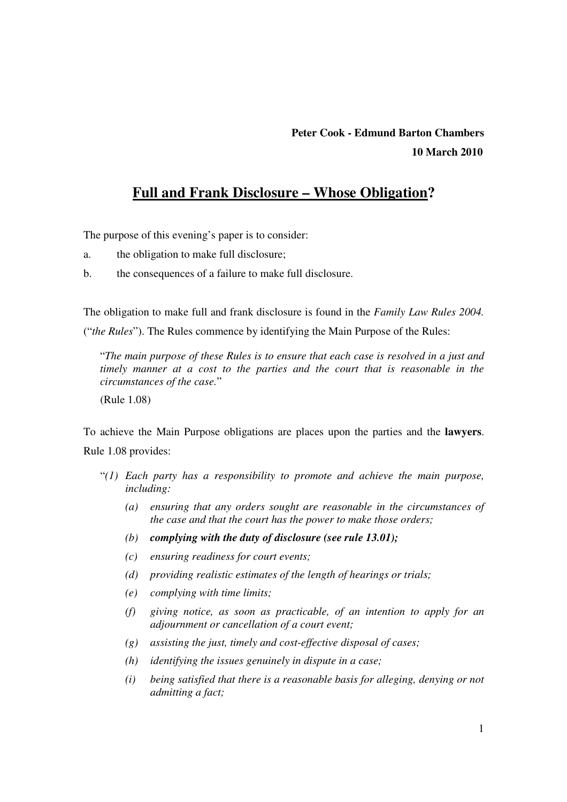# **Peter Cook - Edmund Barton Chambers 10 March 2010**

# **Full and Frank Disclosure – Whose Obligation?**

The purpose of this evening's paper is to consider:

- a. the obligation to make full disclosure;
- b. the consequences of a failure to make full disclosure.

The obligation to make full and frank disclosure is found in the *Family Law Rules 2004.*  ("*the Rules*"). The Rules commence by identifying the Main Purpose of the Rules:

"*The main purpose of these Rules is to ensure that each case is resolved in a just and timely manner at a cost to the parties and the court that is reasonable in the circumstances of the case.*"

(Rule 1.08)

To achieve the Main Purpose obligations are places upon the parties and the **lawyers**. Rule 1.08 provides:

- "*(1) Each party has a responsibility to promote and achieve the main purpose, including:* 
	- *(a) ensuring that any orders sought are reasonable in the circumstances of the case and that the court has the power to make those orders;*
	- *(b) complying with the duty of disclosure (see rule 13.01);*
	- *(c) ensuring readiness for court events;*
	- *(d) providing realistic estimates of the length of hearings or trials;*
	- *(e) complying with time limits;*
	- *(f) giving notice, as soon as practicable, of an intention to apply for an adjournment or cancellation of a court event;*
	- *(g) assisting the just, timely and cost-effective disposal of cases;*
	- *(h) identifying the issues genuinely in dispute in a case;*
	- *(i) being satisfied that there is a reasonable basis for alleging, denying or not admitting a fact;*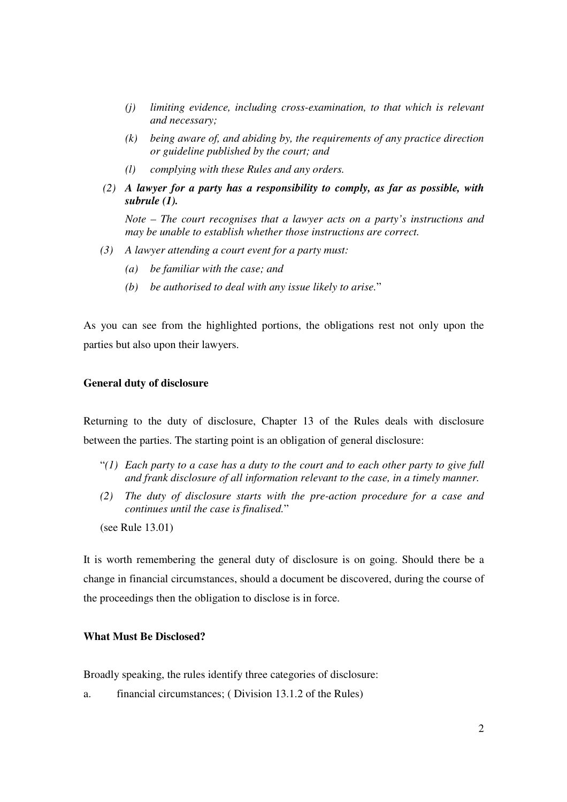- *(j) limiting evidence, including cross-examination, to that which is relevant and necessary;*
- *(k) being aware of, and abiding by, the requirements of any practice direction or guideline published by the court; and*
- *(l) complying with these Rules and any orders.*
- *(2) A lawyer for a party has a responsibility to comply, as far as possible, with subrule (1).*

*Note – The court recognises that a lawyer acts on a party's instructions and may be unable to establish whether those instructions are correct.* 

- *(3) A lawyer attending a court event for a party must:* 
	- *(a) be familiar with the case; and*
	- *(b) be authorised to deal with any issue likely to arise.*"

As you can see from the highlighted portions, the obligations rest not only upon the parties but also upon their lawyers.

#### **General duty of disclosure**

Returning to the duty of disclosure, Chapter 13 of the Rules deals with disclosure between the parties. The starting point is an obligation of general disclosure:

- "*(1) Each party to a case has a duty to the court and to each other party to give full and frank disclosure of all information relevant to the case, in a timely manner.*
- *(2) The duty of disclosure starts with the pre-action procedure for a case and continues until the case is finalised.*"

(see Rule 13.01)

It is worth remembering the general duty of disclosure is on going. Should there be a change in financial circumstances, should a document be discovered, during the course of the proceedings then the obligation to disclose is in force.

### **What Must Be Disclosed?**

Broadly speaking, the rules identify three categories of disclosure:

a. financial circumstances; ( Division 13.1.2 of the Rules)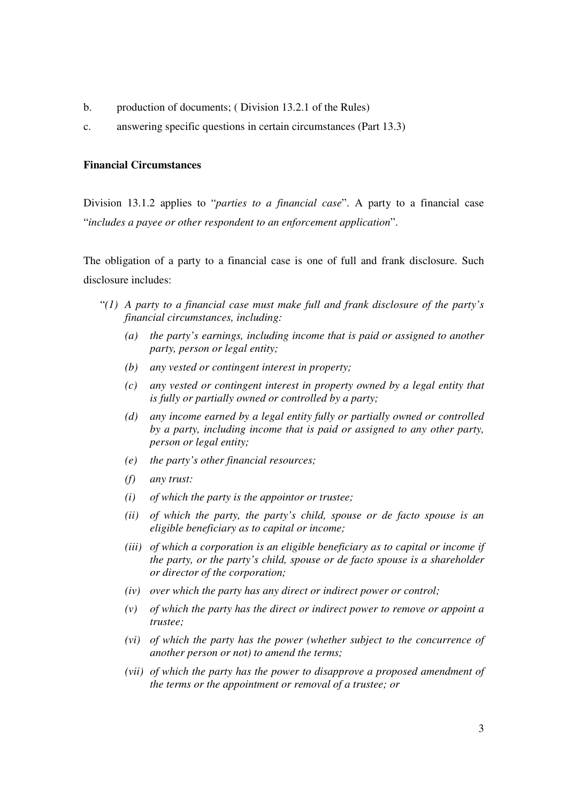- b. production of documents; (Division 13.2.1 of the Rules)
- c. answering specific questions in certain circumstances (Part 13.3)

### **Financial Circumstances**

Division 13.1.2 applies to "*parties to a financial case*". A party to a financial case "*includes a payee or other respondent to an enforcement application*".

The obligation of a party to a financial case is one of full and frank disclosure. Such disclosure includes:

- "*(1) A party to a financial case must make full and frank disclosure of the party's financial circumstances, including:* 
	- *(a) the party's earnings, including income that is paid or assigned to another party, person or legal entity;*
	- *(b) any vested or contingent interest in property;*
	- *(c) any vested or contingent interest in property owned by a legal entity that is fully or partially owned or controlled by a party;*
	- *(d) any income earned by a legal entity fully or partially owned or controlled by a party, including income that is paid or assigned to any other party, person or legal entity;*
	- *(e) the party's other financial resources;*
	- *(f) any trust:*
	- *(i) of which the party is the appointor or trustee;*
	- *(ii) of which the party, the party's child, spouse or de facto spouse is an eligible beneficiary as to capital or income;*
	- *(iii) of which a corporation is an eligible beneficiary as to capital or income if the party, or the party's child, spouse or de facto spouse is a shareholder or director of the corporation;*
	- *(iv) over which the party has any direct or indirect power or control;*
	- *(v) of which the party has the direct or indirect power to remove or appoint a trustee;*
	- *(vi) of which the party has the power (whether subject to the concurrence of another person or not) to amend the terms;*
	- *(vii) of which the party has the power to disapprove a proposed amendment of the terms or the appointment or removal of a trustee; or*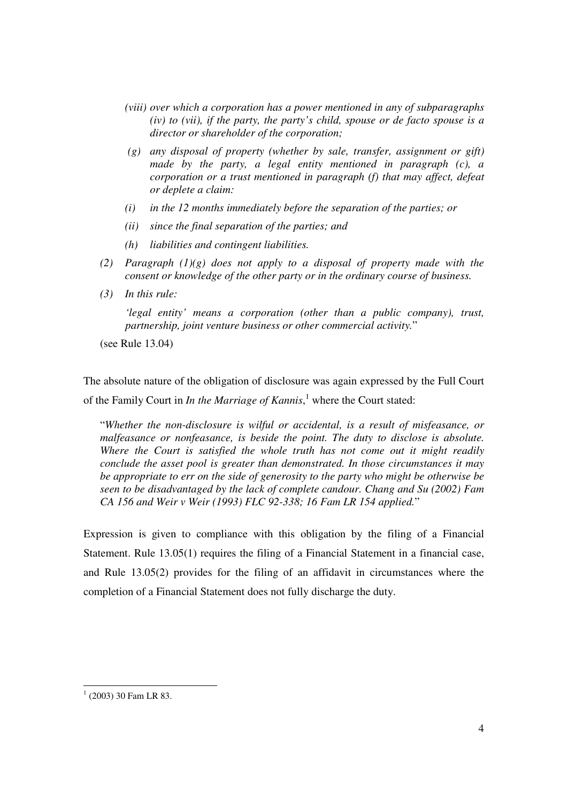- *(viii) over which a corporation has a power mentioned in any of subparagraphs (iv) to (vii), if the party, the party's child, spouse or de facto spouse is a director or shareholder of the corporation;*
- *(g) any disposal of property (whether by sale, transfer, assignment or gift) made by the party, a legal entity mentioned in paragraph (c), a corporation or a trust mentioned in paragraph (f) that may affect, defeat or deplete a claim:*
- *(i) in the 12 months immediately before the separation of the parties; or*
- *(ii) since the final separation of the parties; and*
- *(h) liabilities and contingent liabilities.*
- *(2) Paragraph (1)(g) does not apply to a disposal of property made with the consent or knowledge of the other party or in the ordinary course of business.*
- *(3) In this rule:*

*'legal entity' means a corporation (other than a public company), trust, partnership, joint venture business or other commercial activity.*"

(see Rule 13.04)

The absolute nature of the obligation of disclosure was again expressed by the Full Court of the Family Court in *In the Marriage of Kannis*,<sup>1</sup> where the Court stated:

"*Whether the non-disclosure is wilful or accidental, is a result of misfeasance, or malfeasance or nonfeasance, is beside the point. The duty to disclose is absolute. Where the Court is satisfied the whole truth has not come out it might readily conclude the asset pool is greater than demonstrated. In those circumstances it may be appropriate to err on the side of generosity to the party who might be otherwise be seen to be disadvantaged by the lack of complete candour. Chang and Su (2002) Fam CA 156 and Weir v Weir (1993) FLC 92-338; 16 Fam LR 154 applied.*"

Expression is given to compliance with this obligation by the filing of a Financial Statement. Rule 13.05(1) requires the filing of a Financial Statement in a financial case, and Rule 13.05(2) provides for the filing of an affidavit in circumstances where the completion of a Financial Statement does not fully discharge the duty.

<sup>-</sup> $1$  (2003) 30 Fam LR 83.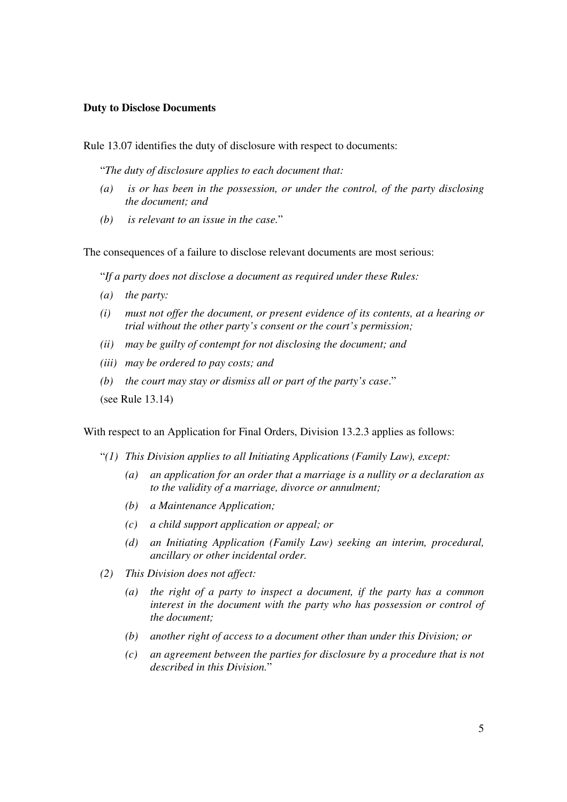### **Duty to Disclose Documents**

Rule 13.07 identifies the duty of disclosure with respect to documents:

"*The duty of disclosure applies to each document that:* 

- *(a) is or has been in the possession, or under the control, of the party disclosing the document; and*
- *(b) is relevant to an issue in the case.*"

The consequences of a failure to disclose relevant documents are most serious:

"*If a party does not disclose a document as required under these Rules:* 

- *(a) the party:*
- *(i) must not offer the document, or present evidence of its contents, at a hearing or trial without the other party's consent or the court's permission;*
- *(ii) may be guilty of contempt for not disclosing the document; and*
- *(iii) may be ordered to pay costs; and*
- *(b) the court may stay or dismiss all or part of the party's case*."

(see Rule 13.14)

With respect to an Application for Final Orders, Division 13.2.3 applies as follows:

- "*(1) This Division applies to all Initiating Applications (Family Law), except:* 
	- *(a) an application for an order that a marriage is a nullity or a declaration as to the validity of a marriage, divorce or annulment;*
	- *(b) a Maintenance Application;*
	- *(c) a child support application or appeal; or*
	- *(d) an Initiating Application (Family Law) seeking an interim, procedural, ancillary or other incidental order.*
- *(2) This Division does not affect:* 
	- *(a) the right of a party to inspect a document, if the party has a common interest in the document with the party who has possession or control of the document;*
	- *(b) another right of access to a document other than under this Division; or*
	- *(c) an agreement between the parties for disclosure by a procedure that is not described in this Division.*"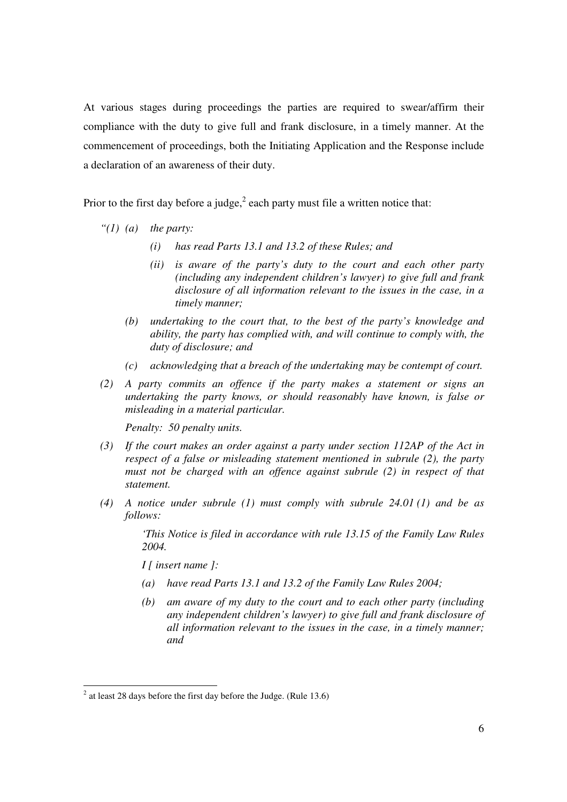At various stages during proceedings the parties are required to swear/affirm their compliance with the duty to give full and frank disclosure, in a timely manner. At the commencement of proceedings, both the Initiating Application and the Response include a declaration of an awareness of their duty.

Prior to the first day before a judge,<sup>2</sup> each party must file a written notice that:

- *"(1) (a) the party:* 
	- *(i) has read Parts 13.1 and 13.2 of these Rules; and*
	- *(ii) is aware of the party's duty to the court and each other party (including any independent children's lawyer) to give full and frank disclosure of all information relevant to the issues in the case, in a timely manner;*
	- *(b) undertaking to the court that, to the best of the party's knowledge and ability, the party has complied with, and will continue to comply with, the duty of disclosure; and*
	- *(c) acknowledging that a breach of the undertaking may be contempt of court.*
- *(2) A party commits an offence if the party makes a statement or signs an undertaking the party knows, or should reasonably have known, is false or misleading in a material particular.*

*Penalty: 50 penalty units.* 

- *(3) If the court makes an order against a party under section 112AP of the Act in respect of a false or misleading statement mentioned in subrule (2), the party must not be charged with an offence against subrule (2) in respect of that statement.*
- *(4) A notice under subrule (1) must comply with subrule 24.01 (1) and be as follows:*

*'This Notice is filed in accordance with rule 13.15 of the Family Law Rules 2004.* 

*I [ insert name ]:* 

-

- *(a) have read Parts 13.1 and 13.2 of the Family Law Rules 2004;*
- *(b) am aware of my duty to the court and to each other party (including any independent children's lawyer) to give full and frank disclosure of all information relevant to the issues in the case, in a timely manner; and*

 $2^2$  at least 28 days before the first day before the Judge. (Rule 13.6)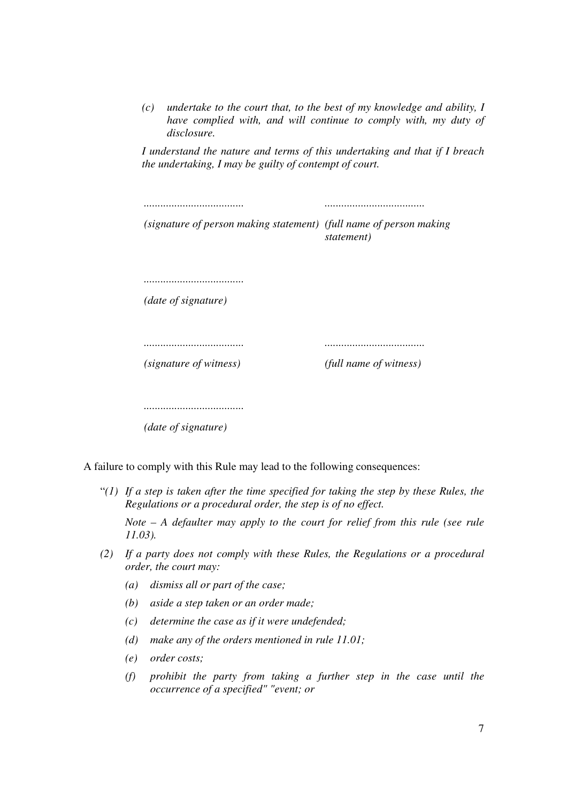*(c) undertake to the court that, to the best of my knowledge and ability, I have complied with, and will continue to comply with, my duty of disclosure.* 

*I understand the nature and terms of this undertaking and that if I breach the undertaking, I may be guilty of contempt of court.* 

| (signature of person making statement) (full name of person making | statement)             |
|--------------------------------------------------------------------|------------------------|
|                                                                    |                        |
|                                                                    |                        |
| (date of signature)                                                |                        |
|                                                                    |                        |
|                                                                    |                        |
|                                                                    |                        |
| (signature of witness)                                             | (full name of witness) |
|                                                                    |                        |
|                                                                    |                        |
|                                                                    |                        |
| (date of signature)                                                |                        |

A failure to comply with this Rule may lead to the following consequences:

"*(1) If a step is taken after the time specified for taking the step by these Rules, the Regulations or a procedural order, the step is of no effect.* 

*Note – A defaulter may apply to the court for relief from this rule (see rule 11.03).* 

- *(2) If a party does not comply with these Rules, the Regulations or a procedural order, the court may:* 
	- *(a) dismiss all or part of the case;*
	- *(b) aside a step taken or an order made;*
	- *(c) determine the case as if it were undefended;*
	- *(d) make any of the orders mentioned in rule 11.01;*
	- *(e) order costs;*
	- *(f) prohibit the party from taking a further step in the case until the occurrence of a specified" "event; or*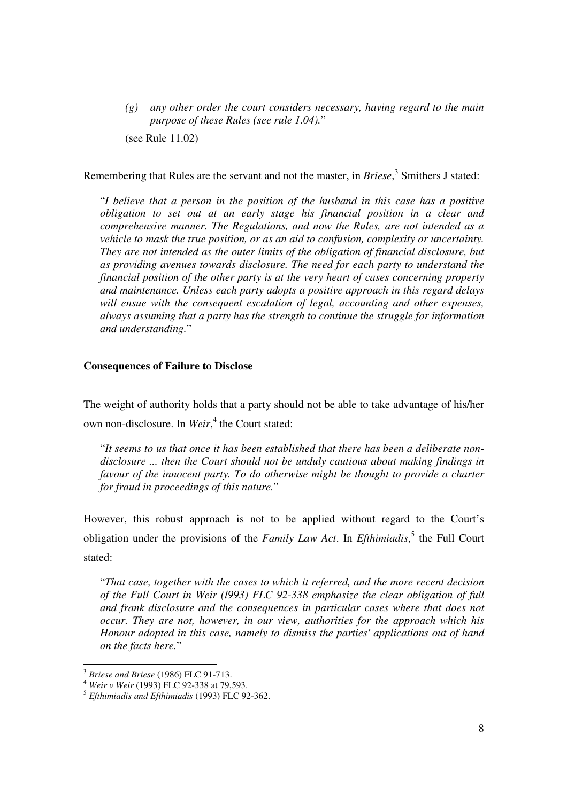*(g) any other order the court considers necessary, having regard to the main purpose of these Rules (see rule 1.04).*"

(see Rule 11.02)

Remembering that Rules are the servant and not the master, in *Briese*,<sup>3</sup> Smithers J stated:

"*I believe that a person in the position of the husband in this case has a positive obligation to set out at an early stage his financial position in a clear and comprehensive manner. The Regulations, and now the Rules, are not intended as a vehicle to mask the true position, or as an aid to confusion, complexity or uncertainty. They are not intended as the outer limits of the obligation of financial disclosure, but as providing avenues towards disclosure. The need for each party to understand the financial position of the other party is at the very heart of cases concerning property and maintenance. Unless each party adopts a positive approach in this regard delays will ensue with the consequent escalation of legal, accounting and other expenses, always assuming that a party has the strength to continue the struggle for information and understanding.*"

#### **Consequences of Failure to Disclose**

The weight of authority holds that a party should not be able to take advantage of his/her own non-disclosure. In *Weir*, 4 the Court stated:

"*It seems to us that once it has been established that there has been a deliberate nondisclosure ... then the Court should not be unduly cautious about making findings in favour of the innocent party. To do otherwise might be thought to provide a charter for fraud in proceedings of this nature.*"

However, this robust approach is not to be applied without regard to the Court's obligation under the provisions of the *Family Law Act*. In *Efthimiadis*, 5 the Full Court stated:

"*That case, together with the cases to which it referred, and the more recent decision of the Full Court in Weir (l993) FLC 92-338 emphasize the clear obligation of full and frank disclosure and the consequences in particular cases where that does not occur. They are not, however, in our view, authorities for the approach which his Honour adopted in this case, namely to dismiss the parties' applications out of hand on the facts here.*"

-

<sup>3</sup> *Briese and Briese* (1986) FLC 91-713.

<sup>4</sup> *Weir v Weir* (1993) FLC 92-338 at 79,593.

<sup>5</sup> *Efthimiadis and Efthimiadis* (1993) FLC 92-362.